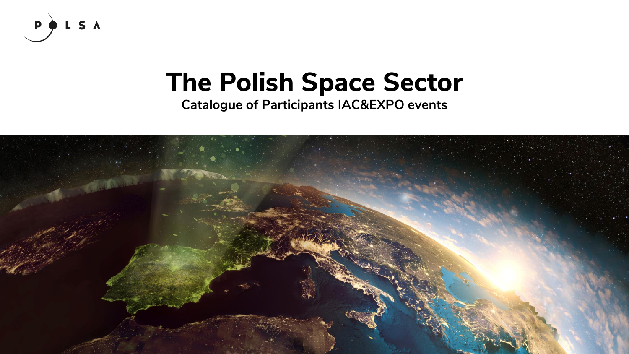

# **The Polish Space Sector**

**Catalogue of Participants IAC&EXPO events**

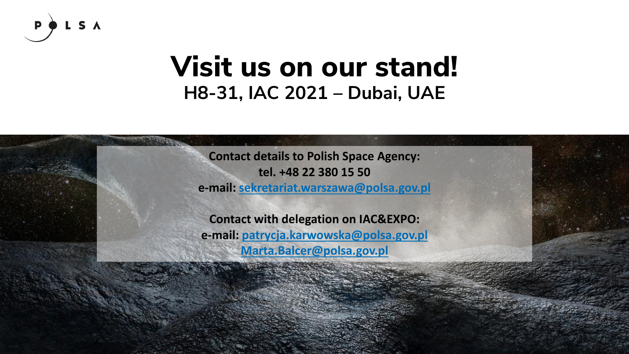

## **Visit us on our stand! H8-31, IAC 2021 – Dubai, UAE**

**Contact details to Polish Space Agency: tel. +48 22 380 15 50**

**e-mail: [sekretariat.warszawa@polsa.gov.pl](mailto:sekretariat.warszawa@polsa.gov.pl)**

**Contact with delegation on IAC&EXPO: e-mail: [patrycja.karwowska@polsa.gov.pl](mailto:patrycja.karwowska@polsa.gov.pl) [Marta.Balcer@polsa.gov.pl](mailto:Marta.Balcer@polsa.gov.pl)**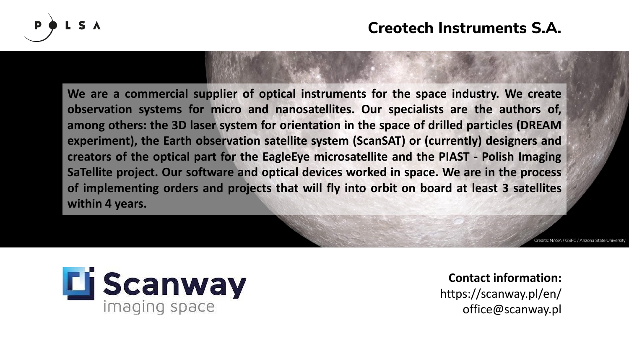

**We are a commercial supplier of optical instruments for the space industry. We create observation systems for micro and nanosatellites. Our specialists are the authors of, among others: the 3D laser system for orientation in the space of drilled particles (DREAM experiment), the Earth observation satellite system (ScanSAT) or (currently) designers and creators of the optical part for the EagleEye microsatellite and the PIAST - Polish Imaging SaTellite project. Our software and optical devices worked in space. We are in the process of implementing orders and projects that will fly into orbit on board at least 3 satellites within 4 years.**

NASA / GSEC / Arizona State Universi



**Contact information:** https://scanway.pl/en/ office@scanway.pl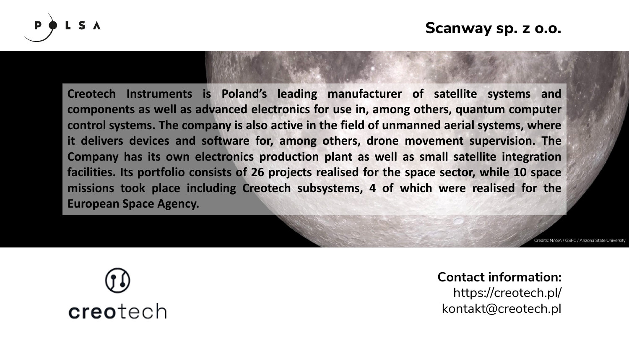

**Creotech Instruments is Poland's leading manufacturer of satellite systems and components as well as advanced electronics for use in, among others, quantum computer control systems. The company is also active in the field of unmanned aerial systems, where it delivers devices and software for, among others, drone movement supervision. The Company has its own electronics production plant as well as small satellite integration facilities. Its portfolio consists of 26 projects realised for the space sector, while 10 space missions took place including Creotech subsystems, 4 of which were realised for the European Space Agency.**

NASA / GSEC / Arizona State Universit



**Contact information:** https://creotech.pl/ kontakt@creotech.pl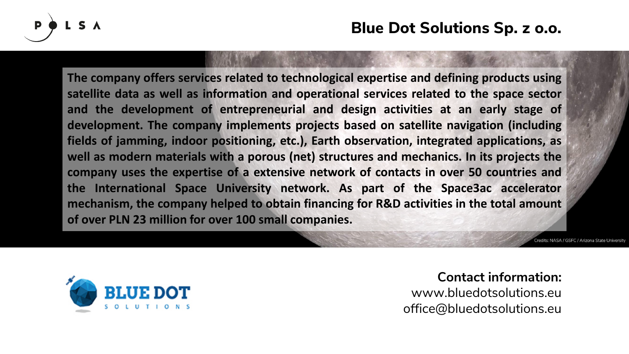

**The company offers services related to technological expertise and defining products using satellite data as well as information and operational services related to the space sector and the development of entrepreneurial and design activities at an early stage of development. The company implements projects based on satellite navigation (including fields of jamming, indoor positioning, etc.), Earth observation, integrated applications, as well as modern materials with a porous (net) structures and mechanics. In its projects the company uses the expertise of a extensive network of contacts in over 50 countries and the International Space University network. As part of the Space3ac accelerator mechanism, the company helped to obtain financing for R&D activities in the total amount of over PLN 23 million for over 100 small companies.**



**Contact information:** www.bluedotsolutions.eu office@bluedotsolutions.eu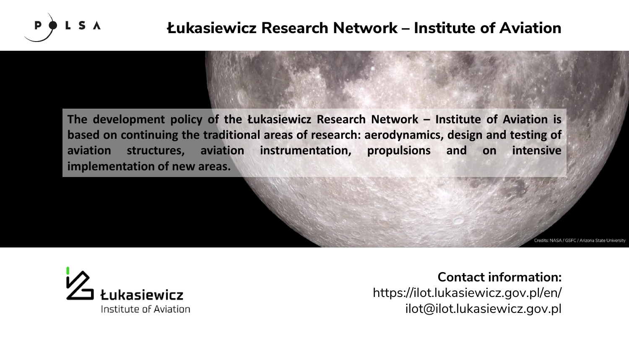

### **Łukasiewicz Research Network – Institute of Aviation**

**The development policy of the Łukasiewicz Research Network – Institute of Aviation is based on continuing the traditional areas of research: aerodynamics, design and testing of aviation structures, aviation instrumentation, propulsions and on intensive implementation of new areas.**

NASA / GSEC / Arizona State Universit



**Contact information:** https://ilot.lukasiewicz.gov.pl/en/ ilot@ilot.lukasiewicz.gov.pl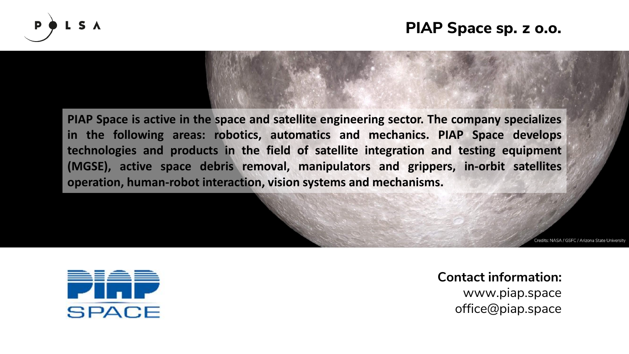

#### **PIAP Space sp. z o.o.**

**PIAP Space is active in the space and satellite engineering sector. The company specializes in the following areas: robotics, automatics and mechanics. PIAP Space develops technologies and products in the field of satellite integration and testing equipment (MGSE), active space debris removal, manipulators and grippers, in-orbit satellites operation, human-robot interaction, vision systems and mechanisms.**

redits: NASA / GSEC / Arizona State Universit



**Contact information:** www.piap.space office@piap.space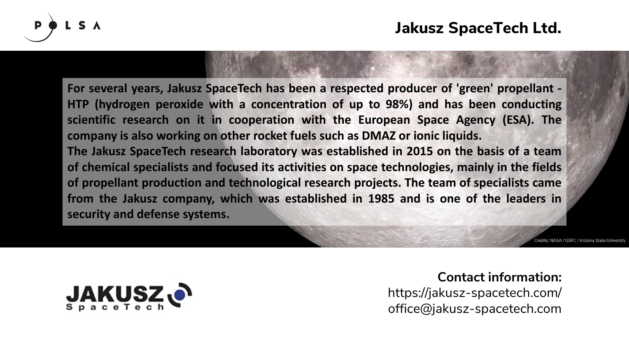

**For several years, Jakusz SpaceTech has been a respected producer of 'green' propellant - HTP (hydrogen peroxide with a concentration of up to 98%) and has been conducting scientific research on it in cooperation with the European Space Agency (ESA). The company is also working on other rocket fuels such as DMAZ or ionic liquids. The Jakusz SpaceTech research laboratory was established in 2015 on the basis of a team of chemical specialists and focused its activities on space technologies, mainly in the fields of propellant production and technological research projects. The team of specialists came from the Jakusz company, which was established in 1985 and is one of the leaders in security and defense systems.**

redits: NASA / GSFC / Arizona State Univ.



#### **Contact information:**

https://jakusz-spacetech.com/ office@jakusz-spacetech.com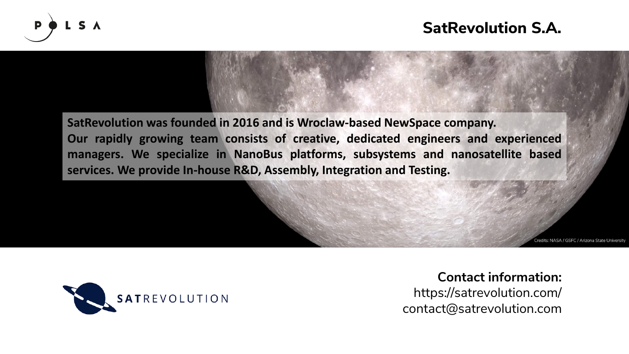

**SatRevolution was founded in 2016 and is Wroclaw-based NewSpace company. Our rapidly growing team consists of creative, dedicated engineers and experienced managers. We specialize in NanoBus platforms, subsystems and nanosatellite based services. We provide In-house R&D, Assembly, Integration and Testing.**

NASA / GSEC / Arizona State Universit



**Contact information:**

https://satrevolution.com/ contact@satrevolution.com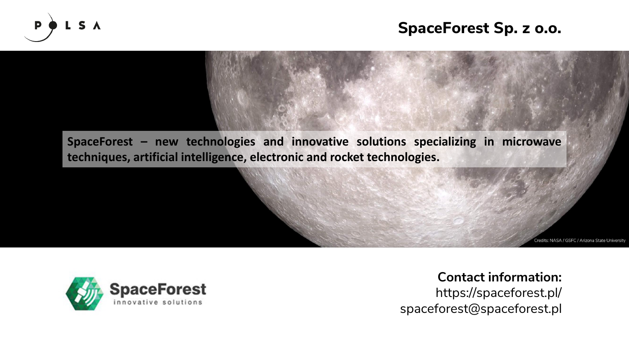

#### **SpaceForest Sp. z o.o.**

**SpaceForest – new technologies and innovative solutions specializing in microwave techniques, artificial intelligence, electronic and rocket technologies.**

redits: NASA / GSFC / Arizona State University



**Contact information:** https://spaceforest.pl/ spaceforest@spaceforest.pl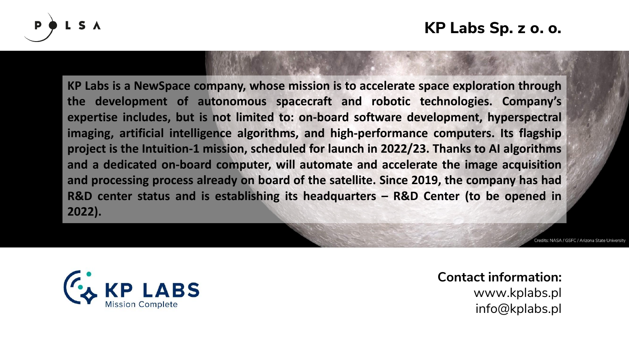

**KP Labs is a NewSpace company, whose mission is to accelerate space exploration through the development of autonomous spacecraft and robotic technologies. Company's expertise includes, but is not limited to: on-board software development, hyperspectral imaging, artificial intelligence algorithms, and high-performance computers. Its flagship project is the Intuition-1 mission, scheduled for launch in 2022/23. Thanks to AI algorithms and a dedicated on-board computer, will automate and accelerate the image acquisition and processing process already on board of the satellite. Since 2019, the company has had R&D center status and is establishing its headquarters – R&D Center (to be opened in 2022).**

redits: NASA / GSEC / Arizona State Univers



**Contact information:** www.kplabs.pl info@kplabs.pl